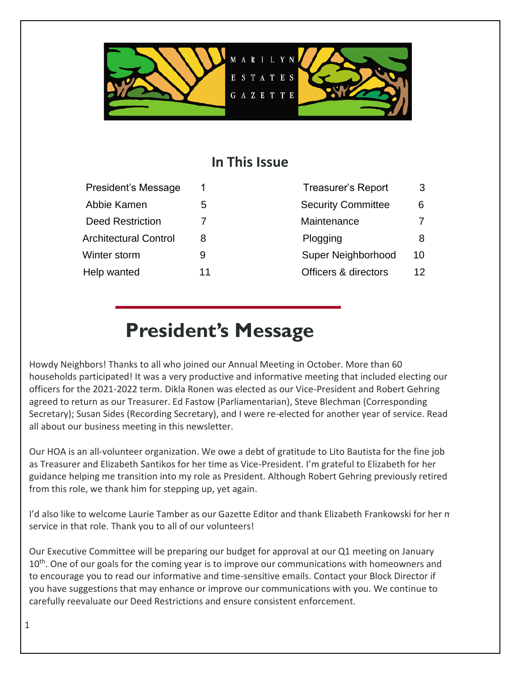

# **In This Issue**

| President's Message          |    | <b>Treasurer's Report</b> | 3  |
|------------------------------|----|---------------------------|----|
| Abbie Kamen                  | 5  | <b>Security Committee</b> | 6  |
| <b>Deed Restriction</b>      |    | Maintenance               | 7  |
| <b>Architectural Control</b> | 8  | Plogging                  | 8  |
| Winter storm                 | 9  | Super Neighborhood        | 10 |
| Help wanted                  | 11 | Officers & directors      | 12 |

| <b>Treasurer's Report</b>       | З  |
|---------------------------------|----|
| <b>Security Committee</b>       | 6  |
| Maintenance                     | 7  |
| Plogging                        | 8  |
| <b>Super Neighborhood</b>       | 10 |
| <b>Officers &amp; directors</b> | 12 |

# **President's Message**

Howdy Neighbors! Thanks to all who joined our Annual Meeting in October. More than 60 households participated! It was a very productive and informative meeting that included electing our officers for the 2021-2022 term. Dikla Ronen was elected as our Vice-President and Robert Gehring agreed to return as our Treasurer. Ed Fastow (Parliamentarian), Steve Blechman (Corresponding Secretary); Susan Sides (Recording Secretary), and I were re-elected for another year of service. Read all about our business meeting in this newsletter.

Our HOA is an all-volunteer organization. We owe a debt of gratitude to Lito Bautista for the fine job as Treasurer and Elizabeth Santikos for her time as Vice-President. I'm grateful to Elizabeth for her guidance helping me transition into my role as President. Although Robert Gehring previously retired from this role, we thank him for stepping up, yet again.

I'd also like to welcome Laurie Tamber as our Gazette Editor and thank Elizabeth Frankowski for her many years service in that role. Thank you to all of our volunteers!

Our Executive Committee will be preparing our budget for approval at our Q1 meeting on January 10<sup>th</sup>. One of our goals for the coming year is to improve our communications with homeowners and to encourage you to read our informative and time-sensitive emails. Contact your Block Director if you have suggestions that may enhance or improve our communications with you. We continue to carefully reevaluate our Deed Restrictions and ensure consistent enforcement.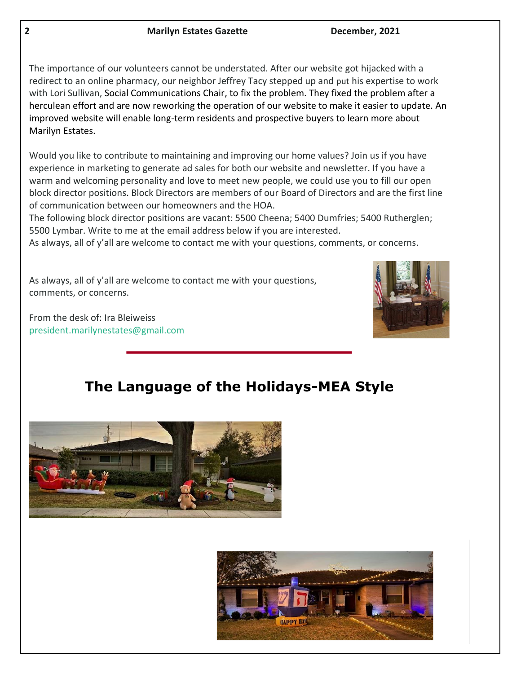The importance of our volunteers cannot be understated. After our website got hijacked with a redirect to an online pharmacy, our neighbor Jeffrey Tacy stepped up and put his expertise to work with Lori Sullivan, Social Communications Chair, to fix the problem. They fixed the problem after a herculean effort and are now reworking the operation of our website to make it easier to update. An improved website will enable long-term residents and prospective buyers to learn more about Marilyn Estates.

Would you like to contribute to maintaining and improving our home values? Join us if you have experience in marketing to generate ad sales for both our website and newsletter. If you have a warm and welcoming personality and love to meet new people, we could use you to fill our open block director positions. Block Directors are members of our Board of Directors and are the first line of communication between our homeowners and the HOA.

The following block director positions are vacant: 5500 Cheena; 5400 Dumfries; 5400 Rutherglen; 5500 Lymbar. Write to me at the email address below if you are interested.

As always, all of y'all are welcome to contact me with your questions, comments, or concerns.

As always, all of y'all are welcome to contact me with your questions, comments, or concerns.

From the desk of: Ira Bleiweiss [president.marilynestates@gmail.com](mailto:president.marilynestates@gmail.com) 



# **The Language of the Holidays-MEA Style**



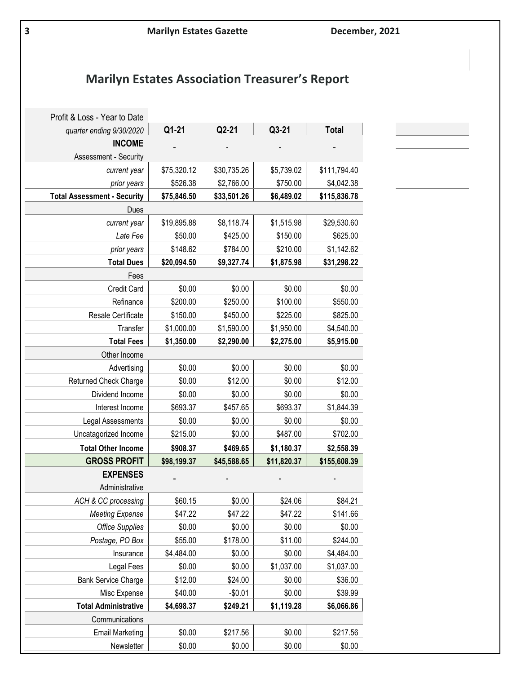# **Marilyn Estates Association Treasurer's Report**

| Profit & Loss - Year to Date       |             |             |             |              |
|------------------------------------|-------------|-------------|-------------|--------------|
| quarter ending 9/30/2020           | Q1-21       | Q2-21       | Q3-21       | <b>Total</b> |
| <b>INCOME</b>                      |             |             |             |              |
| Assessment - Security              |             |             |             |              |
| current year                       | \$75,320.12 | \$30,735.26 | \$5,739.02  | \$111,794.40 |
| prior years                        | \$526.38    | \$2,766.00  | \$750.00    | \$4,042.38   |
| <b>Total Assessment - Security</b> | \$75,846.50 | \$33,501.26 | \$6,489.02  | \$115,836.78 |
| Dues                               |             |             |             |              |
| current year                       | \$19,895.88 | \$8,118.74  | \$1,515.98  | \$29,530.60  |
| Late Fee                           | \$50.00     | \$425.00    | \$150.00    | \$625.00     |
| prior years                        | \$148.62    | \$784.00    | \$210.00    | \$1,142.62   |
| <b>Total Dues</b>                  | \$20,094.50 | \$9,327.74  | \$1,875.98  | \$31,298.22  |
| Fees                               |             |             |             |              |
| Credit Card                        | \$0.00      | \$0.00      | \$0.00      | \$0.00       |
| Refinance                          | \$200.00    | \$250.00    | \$100.00    | \$550.00     |
| Resale Certificate                 | \$150.00    | \$450.00    | \$225.00    | \$825.00     |
| Transfer                           | \$1,000.00  | \$1,590.00  | \$1,950.00  | \$4,540.00   |
| <b>Total Fees</b>                  | \$1,350.00  | \$2,290.00  | \$2,275.00  | \$5,915.00   |
| Other Income                       |             |             |             |              |
| Advertising                        | \$0.00      | \$0.00      | \$0.00      | \$0.00       |
| Returned Check Charge              | \$0.00      | \$12.00     | \$0.00      | \$12.00      |
| Dividend Income                    | \$0.00      | \$0.00      | \$0.00      | \$0.00       |
| Interest Income                    | \$693.37    | \$457.65    | \$693.37    | \$1,844.39   |
| Legal Assessments                  | \$0.00      | \$0.00      | \$0.00      | \$0.00       |
| Uncatagorized Income               | \$215.00    | \$0.00      | \$487.00    | \$702.00     |
| <b>Total Other Income</b>          | \$908.37    | \$469.65    | \$1,180.37  | \$2,558.39   |
| <b>GROSS PROFIT</b>                | \$98,199.37 | \$45,588.65 | \$11,820.37 | \$155,608.39 |
| <b>EXPENSES</b>                    |             |             |             |              |
| Administrative                     |             |             |             |              |
| ACH & CC processing                | \$60.15     | \$0.00      | \$24.06     | \$84.21      |
| <b>Meeting Expense</b>             | \$47.22     | \$47.22     | \$47.22     | \$141.66     |
| <b>Office Supplies</b>             | \$0.00      | \$0.00      | \$0.00      | \$0.00       |
| Postage, PO Box                    | \$55.00     | \$178.00    | \$11.00     | \$244.00     |
| Insurance                          | \$4,484.00  | \$0.00      | \$0.00      | \$4,484.00   |
| Legal Fees                         | \$0.00      | \$0.00      | \$1,037.00  | \$1,037.00   |
| <b>Bank Service Charge</b>         | \$12.00     | \$24.00     | \$0.00      | \$36.00      |
| Misc Expense                       | \$40.00     | $-$0.01$    | \$0.00      | \$39.99      |
| <b>Total Administrative</b>        | \$4,698.37  | \$249.21    | \$1,119.28  | \$6,066.86   |
| Communications                     |             |             |             |              |
| <b>Email Marketing</b>             | \$0.00      | \$217.56    | \$0.00      | \$217.56     |
| Newsletter                         | \$0.00      | \$0.00      | \$0.00      | \$0.00       |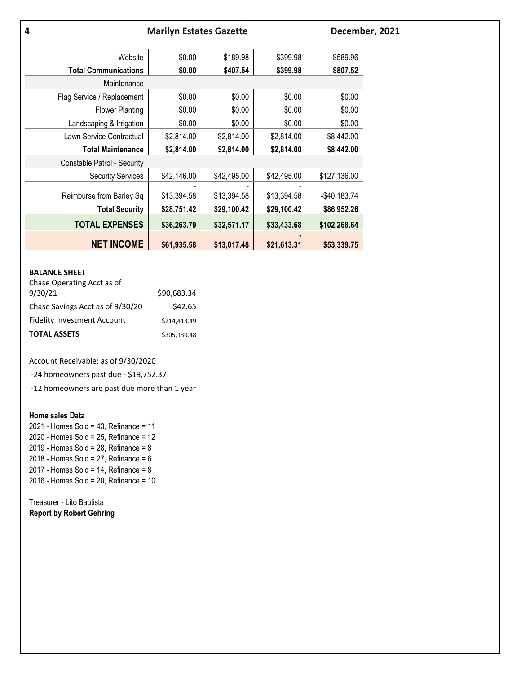| 4                           | <b>Marilyn Estates Gazette</b> |             |             |               | December, 2021 |
|-----------------------------|--------------------------------|-------------|-------------|---------------|----------------|
| Website                     | \$0.00                         | \$189.98    | \$399.98    | \$589.96      |                |
| <b>Total Communications</b> | \$0.00                         | \$407.54    | \$399.98    | \$807.52      |                |
| Maintenance                 |                                |             |             |               |                |
| Flag Service / Replacement  | \$0.00                         | \$0.00      | \$0.00      | \$0.00        |                |
| <b>Flower Planting</b>      | \$0.00                         | \$0.00      | \$0.00      | \$0.00        |                |
| Landscaping & Irrigation    | \$0.00                         | \$0.00      | \$0.00      | \$0.00        |                |
| Lawn Service Contractual    | \$2,814.00                     | \$2,814.00  | \$2,814.00  | \$8,442.00    |                |
| <b>Total Maintenance</b>    | \$2,814.00                     | \$2,814.00  | \$2,814.00  | \$8,442.00    |                |
| Constable Patrol - Security |                                |             |             |               |                |
| <b>Security Services</b>    | \$42,146.00                    | \$42,495.00 | \$42,495.00 | \$127,136.00  |                |
| Reimburse from Barley Sq    | \$13,394.58                    | \$13,394.58 | \$13,394.58 | $-$40,183.74$ |                |
| <b>Total Security</b>       | \$28,751.42                    | \$29,100.42 | \$29,100.42 | \$86,952.26   |                |
| <b>TOTAL EXPENSES</b>       | \$36,263.79                    | \$32,571.17 | \$33,433.68 | \$102,268.64  |                |
| <b>NET INCOME</b>           | \$61,935.58                    | \$13,017.48 | \$21,613.31 | \$53,339.75   |                |

#### **BALANCE SHEET**

| <b>TOTAL ASSETS</b>                | \$305,139.48 |
|------------------------------------|--------------|
| <b>Fidelity Investment Account</b> | \$214.413.49 |
| Chase Savings Acct as of 9/30/20   | \$42.65      |
| 9/30/21                            | \$90.683.34  |
| Chase Operating Acct as of         |              |

Account Receivable: as of 9/30/2020

-24 homeowners past due - \$19,752.37

-12 homeowners are past due more than 1 year

### **Home sales Data**

2021 - Homes Sold =  $43$ , Refinance = 2020 - Homes Sold = 25, Refinance = 12 2019 - Homes Sold = 28, Refinance = 2018 - Homes Sold = 27, Refinance = 2017 - Homes Sold = 14, Refinance = 2016 - Homes Sold = 20, Refinance = 10

Treasurer - Lito Bautista **Report by Robert Gehring**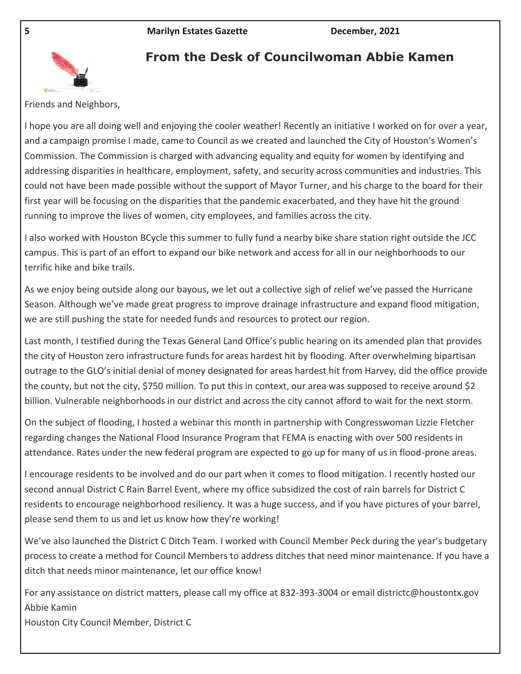

# **From the Desk of Councilwoman Abbie Kamen**

Friends and Neighbors,

I hope you are all doing well and enjoying the cooler weather! Recently an initiative I worked on for over a year, and a campaign promise I made, came to Council as we created and launched the City of Houston's Women's Commission. The Commission is charged with advancing equality and equity for women by identifying and addressing disparities in healthcare, employment, safety, and security across communities and industries. This could not have been made possible without the support of Mayor Turner, and his charge to the board for their first year will be focusing on the disparities that the pandemic exacerbated, and they have hit the ground running to improve the lives of women, city employees, and families across the city.

I also worked with Houston BCycle this summer to fully fund a nearby bike share station right outside the JCC campus. This is part of an effort to expand our bike network and access for all in our neighborhoods to our terrific hike and bike trails.

As we enjoy being outside along our bayous, we let out a collective sigh of relief we've passed the Hurricane Season. Although we've made great progress to improve drainage infrastructure and expand flood mitigation, we are still pushing the state for needed funds and resources to protect our region.

Last month, I testified during the Texas General Land Office's public hearing on its amended plan that provides the city of Houston zero infrastructure funds for areas hardest hit by flooding. After overwhelming bipartisan outrage to the GLO's initial denial of money designated for areas hardest hit from Harvey, did the office provide the county, but not the city, \$750 million. To put this in context, our area was supposed to receive around \$2 billion. Vulnerable neighborhoods in our district and across the city cannot afford to wait for the next storm.

On the subject of flooding, I hosted a webinar this month in partnership with Congresswoman Lizzie Fletcher regarding changes the National Flood Insurance Program that FEMA is enacting with over 500 residents in attendance. Rates under the new federal program are expected to go up for many of us in flood-prone areas.

I encourage residents to be involved and do our part when it comes to flood mitigation. I recently hosted our second annual District C Rain Barrel Event, where my office subsidized the cost of rain barrels for District C residents to encourage neighborhood resiliency. It was a huge success, and if you have pictures of your barrel, please send them to us and let us know how they're working!

We've also launched the District C Ditch Team. I worked with Council Member Peck during the year's budgetary process to create a method for Council Members to address ditches that need minor maintenance. If you have a ditch that needs minor maintenance, let our office know!

For any assistance on district matters, please call my office at 832-393-3004 or email districtc@houstontx.gov Abbie Kamin Houston City Council Member, District C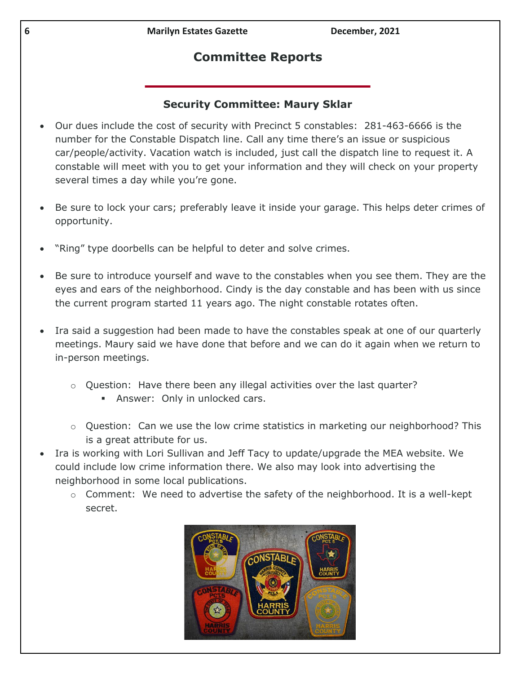# **Committee Reports**

## **Security Committee: Maury Sklar**

- Our dues include the cost of security with Precinct 5 constables: 281-463-6666 is the number for the Constable Dispatch line. Call any time there's an issue or suspicious car/people/activity. Vacation watch is included, just call the dispatch line to request it. A constable will meet with you to get your information and they will check on your property several times a day while you're gone.
- Be sure to lock your cars; preferably leave it inside your garage. This helps deter crimes of opportunity.
- "Ring" type doorbells can be helpful to deter and solve crimes.
- Be sure to introduce yourself and wave to the constables when you see them. They are the eyes and ears of the neighborhood. Cindy is the day constable and has been with us since the current program started 11 years ago. The night constable rotates often.
- Ira said a suggestion had been made to have the constables speak at one of our quarterly meetings. Maury said we have done that before and we can do it again when we return to in-person meetings.
	- o Question: Have there been any illegal activities over the last quarter?
		- Answer: Only in unlocked cars.
	- $\circ$  Question: Can we use the low crime statistics in marketing our neighborhood? This is a great attribute for us.
- Ira is working with Lori Sullivan and Jeff Tacy to update/upgrade the MEA website. We could include low crime information there. We also may look into advertising the neighborhood in some local publications.
	- o Comment: We need to advertise the safety of the neighborhood. It is a well-kept secret.

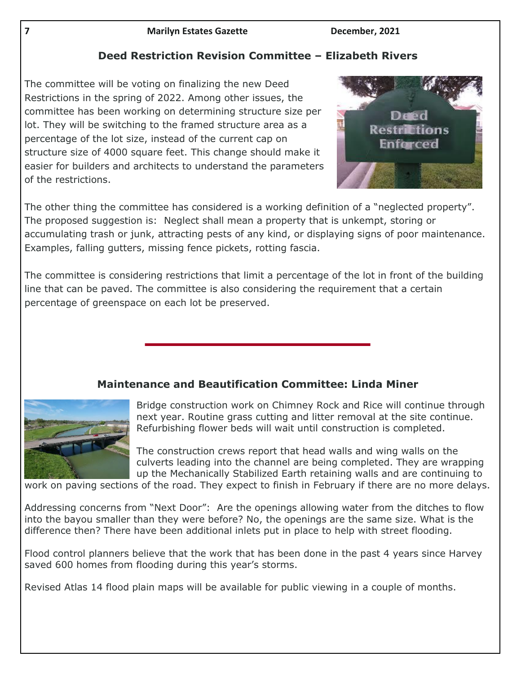# **Deed Restriction Revision Committee – Elizabeth Rivers**

The committee will be voting on finalizing the new Deed Restrictions in the spring of 2022. Among other issues, the committee has been working on determining structure size per lot. They will be switching to the framed structure area as a percentage of the lot size, instead of the current cap on structure size of 4000 square feet. This change should make it easier for builders and architects to understand the parameters of the restrictions.



The other thing the committee has considered is a working definition of a "neglected property". The proposed suggestion is: Neglect shall mean a property that is unkempt, storing or accumulating trash or junk, attracting pests of any kind, or displaying signs of poor maintenance. Examples, falling gutters, missing fence pickets, rotting fascia.

The committee is considering restrictions that limit a percentage of the lot in front of the building line that can be paved. The committee is also considering the requirement that a certain percentage of greenspace on each lot be preserved.

# **Maintenance and Beautification Committee: Linda Miner**



Bridge construction work on Chimney Rock and Rice will continue through next year. Routine grass cutting and litter removal at the site continue. Refurbishing flower beds will wait until construction is completed.

The construction crews report that head walls and wing walls on the culverts leading into the channel are being completed. They are wrapping up the Mechanically Stabilized Earth retaining walls and are continuing to

work on paving sections of the road. They expect to finish in February if there are no more delays.

Addressing concerns from "Next Door": Are the openings allowing water from the ditches to flow into the bayou smaller than they were before? No, the openings are the same size. What is the difference then? There have been additional inlets put in place to help with street flooding.

Flood control planners believe that the work that has been done in the past 4 years since Harvey saved 600 homes from flooding during this year's storms.

Revised Atlas 14 flood plain maps will be available for public viewing in a couple of months.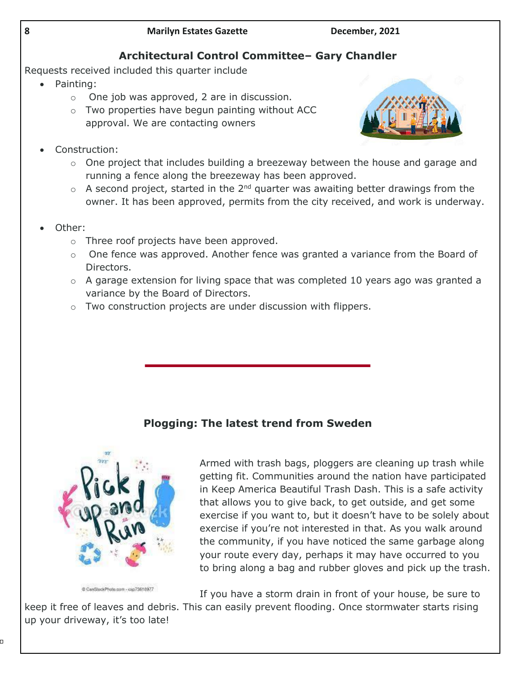# **Architectural Control Committee– Gary Chandler**

Requests received included this quarter include

- Painting:
	- o One job was approved, 2 are in discussion.
	- o Two properties have begun painting without ACC approval. We are contacting owners
- Construction:



- $\circ$  One project that includes building a breezeway between the house and garage and running a fence along the breezeway has been approved.
- $\circ$  A second project, started in the 2<sup>nd</sup> quarter was awaiting better drawings from the owner. It has been approved, permits from the city received, and work is underway.
- Other:
	- o Three roof projects have been approved.
	- $\circ$  One fence was approved. Another fence was granted a variance from the Board of Directors.
	- o A garage extension for living space that was completed 10 years ago was granted a variance by the Board of Directors.
	- $\circ$  Two construction projects are under discussion with flippers.

# **Plogging: The latest trend from Sweden**



Armed with trash bags, ploggers are cleaning up trash while getting fit. Communities around the nation have participated in Keep America Beautiful Trash Dash. This is a safe activity that allows you to give back, to get outside, and get some exercise if you want to, but it doesn't have to be solely about exercise if you're not interested in that. As you walk around the community, if you have noticed the same garbage along your route every day, perhaps it may have occurred to you to bring along a bag and rubber gloves and pick up the trash.

CanSteckPhoto.com - cap73616977

If you have a storm drain in front of your house, be sure to

keep it free of leaves and debris. This can easily prevent flooding. Once stormwater starts rising up your driveway, it's too late!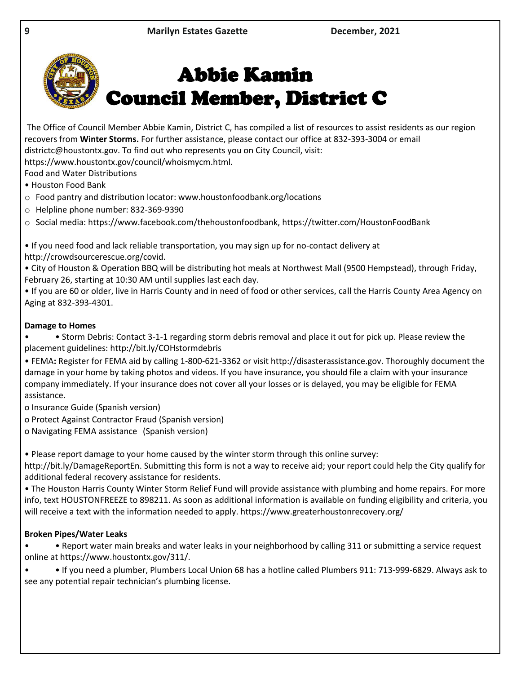

# Abbie Kamin Council Member, District C

The Office of Council Member Abbie Kamin, District C, has compiled a list of resources to assist residents as our region recovers from **Winter Storms.** For further assistance, please contact our office at 832-393-3004 or email districtc@houstontx.gov. To find out who represents you on City Council, visit:

https://www.houstontx.gov/council/whoismycm.html.

Food and Water Distributions

- Houston Food Bank
- o Food pantry and distribution locator: www.houstonfoodbank.org/locations
- o Helpline phone number: 832-369-9390

o Social media: https://www.facebook.com/thehoustonfoodbank, https://twitter.com/HoustonFoodBank

• If you need food and lack reliable transportation, you may sign up for no-contact delivery at http://crowdsourcerescue.org/covid.

• City of Houston & Operation BBQ will be distributing hot meals at Northwest Mall (9500 Hempstead), through Friday, February 26, starting at 10:30 AM until supplies last each day.

• If you are 60 or older, live in Harris County and in need of food or other services, call the Harris County Area Agency on Aging at 832-393-4301.

## **Damage to Homes**

• • Storm Debris: Contact 3-1-1 regarding storm debris removal and place it out for pick up. Please review the placement guidelines: http://bit.ly/COHstormdebris

• FEMA**:** Register for FEMA aid by calling 1-800-621-3362 or visit http://disasterassistance.gov. Thoroughly document the damage in your home by taking photos and videos. If you have insurance, you should file a claim with your insurance company immediately. If your insurance does not cover all your losses or is delayed, you may be eligible for FEMA assistance.

o Insurance Guide (Spanish version)

o Protect Against Contractor Fraud (Spanish version)

o Navigating FEMA assistance (Spanish version)

• Please report damage to your home caused by the winter storm through this online survey:

http://bit.ly/DamageReportEn. Submitting this form is not a way to receive aid; your report could help the City qualify for additional federal recovery assistance for residents.

• The Houston Harris County Winter Storm Relief Fund will provide assistance with plumbing and home repairs. For more info, text HOUSTONFREEZE to 898211. As soon as additional information is available on funding eligibility and criteria, you will receive a text with the information needed to apply. https://www.greaterhoustonrecovery.org/

## **Broken Pipes/Water Leaks**

• • Report water main breaks and water leaks in your neighborhood by calling 311 or submitting a service request online at https://www.houstontx.gov/311/.

• • If you need a plumber, Plumbers Local Union 68 has a hotline called Plumbers 911: 713-999-6829. Always ask to see any potential repair technician's plumbing license.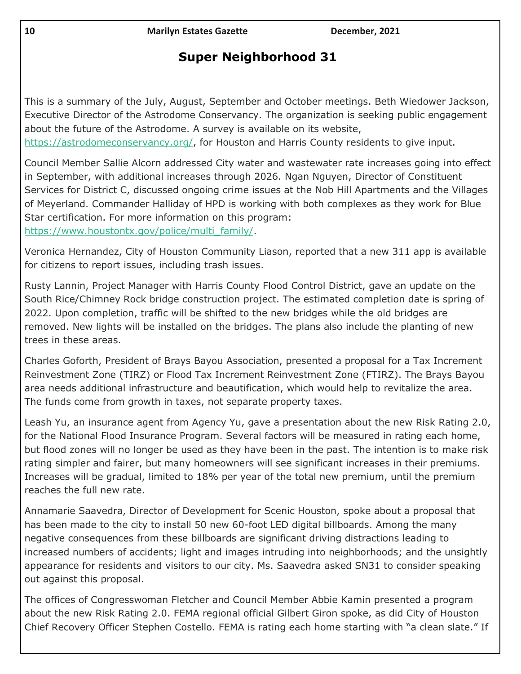# **Super Neighborhood 31**

This is a summary of the July, August, September and October meetings. Beth Wiedower Jackson, Executive Director of the Astrodome Conservancy. The organization is seeking public engagement about the future of the Astrodome. A survey is available on its website, [https://astrodomeconservancy.org/,](https://astrodomeconservancy.org/) for Houston and Harris County residents to give input.

Council Member Sallie Alcorn addressed City water and wastewater rate increases going into effect in September, with additional increases through 2026. Ngan Nguyen, Director of Constituent Services for District C, discussed ongoing crime issues at the Nob Hill Apartments and the Villages of Meyerland. Commander Halliday of HPD is working with both complexes as they work for Blue Star certification. For more information on this program:

[https://www.houstontx.gov/police/multi\\_family/.](https://www.houstontx.gov/police/multi_family/)

Veronica Hernandez, City of Houston Community Liason, reported that a new 311 app is available for citizens to report issues, including trash issues.

Rusty Lannin, Project Manager with Harris County Flood Control District, gave an update on the South Rice/Chimney Rock bridge construction project. The estimated completion date is spring of 2022. Upon completion, traffic will be shifted to the new bridges while the old bridges are removed. New lights will be installed on the bridges. The plans also include the planting of new trees in these areas.

Charles Goforth, President of Brays Bayou Association, presented a proposal for a Tax Increment Reinvestment Zone (TIRZ) or Flood Tax Increment Reinvestment Zone (FTIRZ). The Brays Bayou area needs additional infrastructure and beautification, which would help to revitalize the area. The funds come from growth in taxes, not separate property taxes.

Leash Yu, an insurance agent from Agency Yu, gave a presentation about the new Risk Rating 2.0, for the National Flood Insurance Program. Several factors will be measured in rating each home, but flood zones will no longer be used as they have been in the past. The intention is to make risk rating simpler and fairer, but many homeowners will see significant increases in their premiums. Increases will be gradual, limited to 18% per year of the total new premium, until the premium reaches the full new rate.

Annamarie Saavedra, Director of Development for Scenic Houston, spoke about a proposal that has been made to the city to install 50 new 60-foot LED digital billboards. Among the many negative consequences from these billboards are significant driving distractions leading to increased numbers of accidents; light and images intruding into neighborhoods; and the unsightly appearance for residents and visitors to our city. Ms. Saavedra asked SN31 to consider speaking out against this proposal.

The offices of Congresswoman Fletcher and Council Member Abbie Kamin presented a program about the new Risk Rating 2.0. FEMA regional official Gilbert Giron spoke, as did City of Houston Chief Recovery Officer Stephen Costello. FEMA is rating each home starting with "a clean slate." If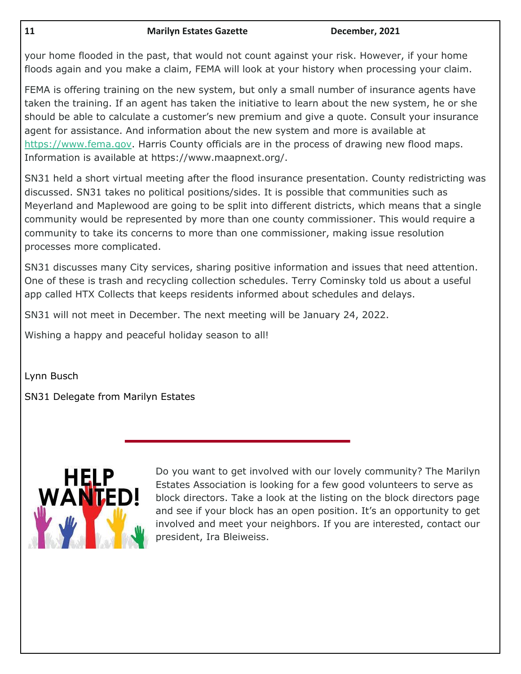your home flooded in the past, that would not count against your risk. However, if your home floods again and you make a claim, FEMA will look at your history when processing your claim.

FEMA is offering training on the new system, but only a small number of insurance agents have taken the training. If an agent has taken the initiative to learn about the new system, he or she should be able to calculate a customer's new premium and give a quote. Consult your insurance agent for assistance. And information about the new system and more is available at [https://www.fema.gov.](https://www.fema.gov/) Harris County officials are in the process of drawing new flood maps. Information is available at https://www.maapnext.org/.

SN31 held a short virtual meeting after the flood insurance presentation. County redistricting was discussed. SN31 takes no political positions/sides. It is possible that communities such as Meyerland and Maplewood are going to be split into different districts, which means that a single community would be represented by more than one county commissioner. This would require a community to take its concerns to more than one commissioner, making issue resolution processes more complicated.

SN31 discusses many City services, sharing positive information and issues that need attention. One of these is trash and recycling collection schedules. Terry Cominsky told us about a useful app called HTX Collects that keeps residents informed about schedules and delays.

SN31 will not meet in December. The next meeting will be January 24, 2022.

Wishing a happy and peaceful holiday season to all!

Lynn Busch

SN31 Delegate from Marilyn Estates



Do you want to get involved with our lovely community? The Marilyn Estates Association is looking for a few good volunteers to serve as block directors. Take a look at the listing on the block directors page and see if your block has an open position. It's an opportunity to get involved and meet your neighbors. If you are interested, contact our president, Ira Bleiweiss.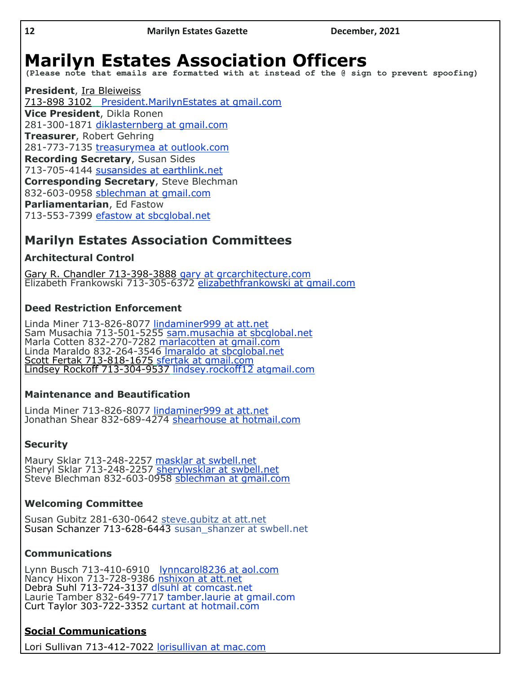# **Marilyn Estates Association Officers**

**(Please note that emails are formatted with at instead of the @ sign to prevent spoofing)**

**President**, Ira Bleiweiss 713-898 3102 President.MarilynEstates at gmail.com **Vice President**, Dikla Ronen 281-300-1871 [diklasternberg](mailto:cjyeoman@sbcglobal.net) at gmail.com **Treasurer**, Robert Gehring 281-773-7135 [treasurymea at outlook.com](mailto:treasurymea@outlook.com) **Recording Secretary**, Susan Sides 713-705-4144 [susansides at earthlink.net](mailto:susansides@earthlink.net) **Corresponding Secretary**, Steve Blechman 832-603-0958 [sblechman at gmail.com](mailto:marthaeaves@gmail.com) **Parliamentarian**, Ed Fastow 713-553-7399 [efastow at sbcglobal.net](mailto:efastow@sbcglobal.net)

# **Marilyn Estates Association Committees**

## **Architectural Control**

Gary R. Chandler 713-398-3888 gary at grcarchitecture.com Elizabeth Frankowski 713-305-6372 [elizabethfrankowski at gmail.com](mailto:elizabethfrankowski@gmail.com)

## **Deed Restriction Enforcement**

Linda Miner 713-826-8077 [lindaminer999 at att.net](mailto:lindaminer999@att.net) Sam Musachia 713-501-5255 [sam.musachia at sbcglobal.net](mailto:sam.musachia@sbcglobal.net) Marla Cotten 832-270-7282 [marlacotten at gmail.com](mailto:marlacotten@gmail.com) Linda Maraldo 832-264-3546 [lmaraldo at sbcglobal.net](mailto:lmaraldo@sbcglobal.net) Scott Fertak 713-818-1675 sfertak at gmail.com Lindsey Rockoff 713-304-9537 lindsey.rockoff12 atgmail.com

## **Maintenance and Beautification**

Linda Miner 713-826-8077 [lindaminer999 at att.net](mailto:lindaminer999@att.net) Jonathan Shear 832-689-4274 [shearhouse at hotmail.com](mailto:shearhouse@hotmail.com)

# **Security**

Maury Sklar 713-248-2257 [masklar at swbell.net](mailto:masklar@swbell.net) Sheryl Sklar 713-248-2257 [sherylwsklar at swbell.net](mailto:sherylwsklar@swbell.net) Steve Blechman 832-603-0958 [sblechman at gmail.com](mailto:sblechman@gmail.com)

## **Welcoming Committee**

Susan Gubitz 281-630-0642 steve.gubitz at att.net Susan Schanzer 713-628-6443 susan\_shanzer at swbell.net

## **Communications**

Lynn Busch 713-410-6910 [lynncarol8236 at aol.com](mailto:lynncarol8236@aol.com) Nancy Hixon 713-728-9386 [nshixon at att.net](mailto:nshixon@att.net) Debra Suhl 713-724-3137 [dlsuhl at comc](mailto:dlsuhl@me.com)ast.net Laurie Tamber 832-649-7717 tamber.laurie at gmail.com Curt Taylor 303-722-3352 [curtant at hotmail.com](mailto:curtant@hotmail.com)

# **Social Communications**

Lori Sullivan 713-412-7022 lorisullivan at mac.com